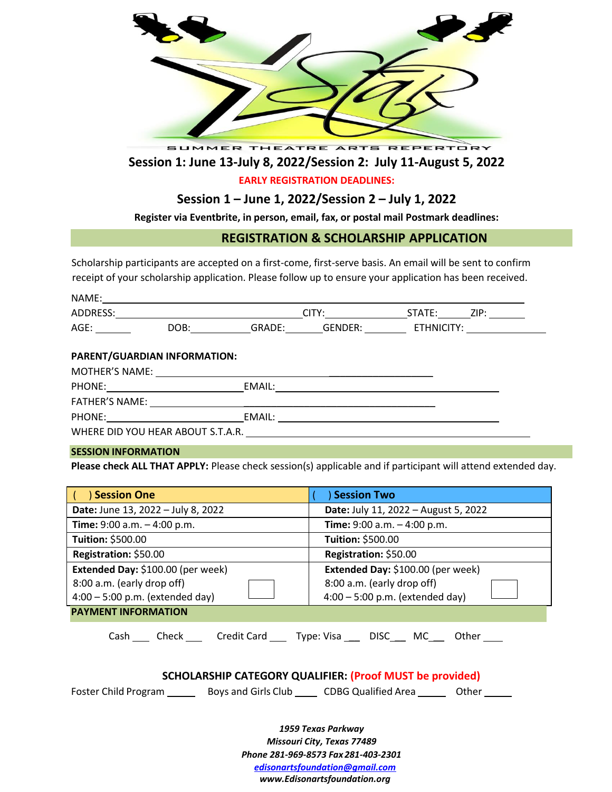

# **Session 1: June 13-July 8, 2022/Session 2: July 11-August 5, 2022**

### **EARLY REGISTRATION DEADLINES:**

### **Session 1 – June 1, 2022/Session 2 – July 1, 2022**

**Register via Eventbrite, in person, email, fax, or postal mail Postmark deadlines:** 

### **REGISTRATION & SCHOLARSHIP APPLICATION**

Scholarship participants are accepted on a first-come, first-serve basis. An email will be sent to confirm receipt of your scholarship application. Please follow up to ensure your application has been received.

| NAME:    |      |        |                |            |      |
|----------|------|--------|----------------|------------|------|
| ADDRESS: |      | ™TV∙   |                | STATE:     | ZIP: |
| AGE:     | DOB: | GRADE: | <b>GENDER:</b> | ETHNICITY: |      |

#### **PARENT/GUARDIAN INFORMATION:**

| <b>MOTHER'S NAME:</b>             |        |  |
|-----------------------------------|--------|--|
| PHONE:                            | EMAIL: |  |
| <b>FATHER'S NAME:</b>             |        |  |
| PHONE:                            | EMAIL: |  |
| WHERE DID YOU HEAR ABOUT S.T.A.R. |        |  |

#### **SESSION INFORMATION**

**Please check ALL THAT APPLY:** Please check session(s) applicable and if participant will attend extended day.

| <b>Session One</b>                                                                                   | <b>Session Two</b>                                              |  |  |  |
|------------------------------------------------------------------------------------------------------|-----------------------------------------------------------------|--|--|--|
| Date: June 13, 2022 - July 8, 2022                                                                   | Date: July 11, 2022 - August 5, 2022                            |  |  |  |
| Time: $9:00$ a.m. $-4:00$ p.m.                                                                       | Time: $9:00$ a.m. $-4:00$ p.m.                                  |  |  |  |
| Tuition: \$500.00                                                                                    | Tuition: \$500.00                                               |  |  |  |
| Registration: \$50.00                                                                                | Registration: \$50.00                                           |  |  |  |
| Extended Day: \$100.00 (per week)                                                                    | Extended Day: \$100.00 (per week)                               |  |  |  |
| 8:00 a.m. (early drop off)                                                                           | 8:00 a.m. (early drop off)                                      |  |  |  |
| $4:00 - 5:00$ p.m. (extended day)                                                                    | $4:00 - 5:00$ p.m. (extended day)                               |  |  |  |
| <b>PAYMENT INFORMATION</b>                                                                           |                                                                 |  |  |  |
| Cash Check Credit Card Type: Visa DISC MC Other                                                      |                                                                 |  |  |  |
|                                                                                                      | <b>SCHOLARSHIP CATEGORY QUALIFIER: (Proof MUST be provided)</b> |  |  |  |
| Foster Child Program _________ Boys and Girls Club _______ CDBG Qualified Area _________ Other _____ |                                                                 |  |  |  |
| 1959 Texas Parkway<br>Missouri City, Texas 77489<br>Phone 281-969-8573 Fax 281-403-2301              |                                                                 |  |  |  |

*[edisonartsfoundation@gmail.com](mailto:edisonartsfoundation@gmail.com)*

*[www.Edisonartsfoundation.org](http://www.edisonartsfoundation.org/)*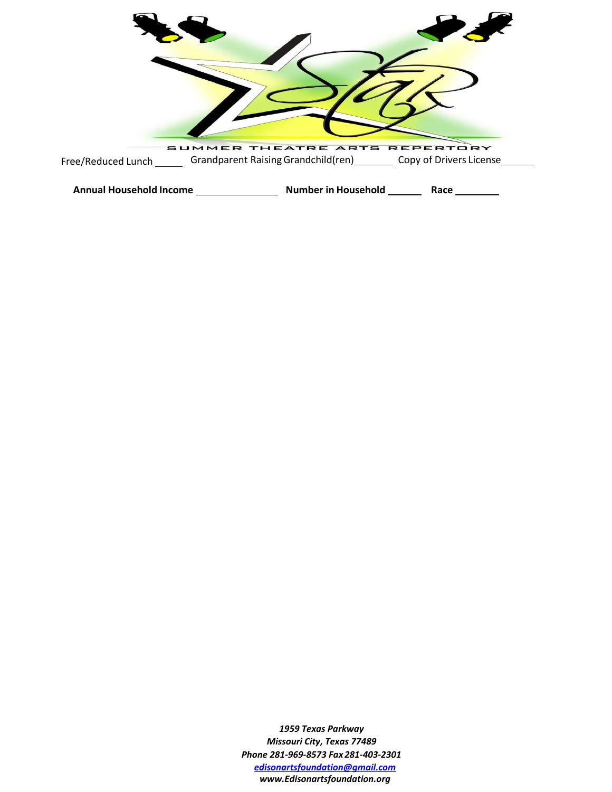

*1959 Texas Parkway Missouri City, Texas 77489 Phone 281-969-8573 Fax 281-403-2301 [edisonartsfoundation@gmail.com](mailto:edisonartsfoundation@gmail.com) [www.Edisonartsfoundation.org](http://www.edisonartsfoundation.org/)*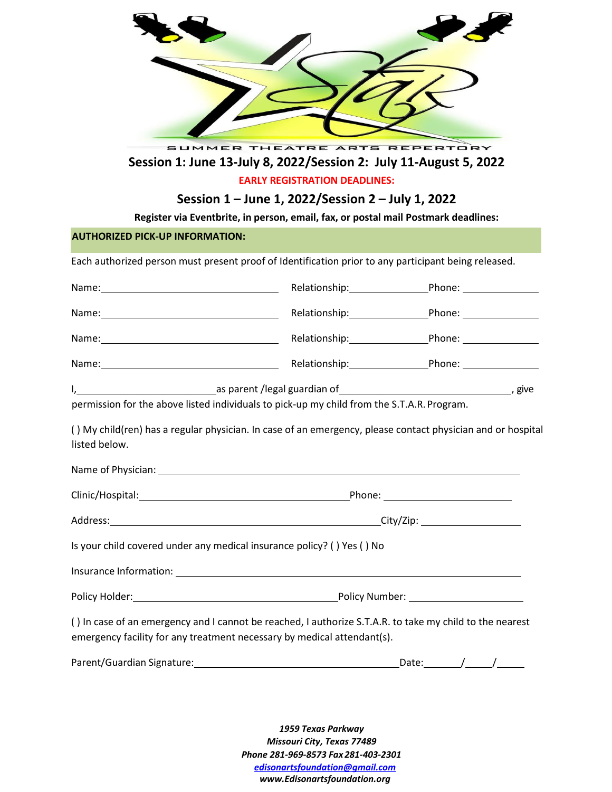| SUMMER THEATRE ARTS REPERTORY<br>Session 1: June 13-July 8, 2022/Session 2: July 11-August 5, 2022<br>Register via Eventbrite, in person, email, fax, or postal mail Postmark deadlines:<br><b>AUTHORIZED PICK-UP INFORMATION:</b>                                                                                                                                                                                                         | <b>EARLY REGISTRATION DEADLINES:</b><br>Session 1 – June 1, 2022/Session 2 – July 1, 2022 |  |  |
|--------------------------------------------------------------------------------------------------------------------------------------------------------------------------------------------------------------------------------------------------------------------------------------------------------------------------------------------------------------------------------------------------------------------------------------------|-------------------------------------------------------------------------------------------|--|--|
| Each authorized person must present proof of Identification prior to any participant being released.                                                                                                                                                                                                                                                                                                                                       |                                                                                           |  |  |
| Name: Name: Name: Name: Nelationship: Nelationship: Name: Name: Name: Nelationship: Name: Nelson Shane: Nelson Shane: Nelson Shane: Nelson Shane: Nelson Shane: Nelson Shane: Nelson Shane: Nelson Shane: Nelson Shane: Nelson                                                                                                                                                                                                             |                                                                                           |  |  |
| Name: Phone: Phone: Phone: Phone: Phone: Phone: Phone: Phone: Phone: Phone: Phone: Phone: Phone: Phone: Phone: Phone: Phone: Phone: Phone: Phone: Phone: Phone: Phone: Phone: Phone: Phone: Phone: Phone: Phone: Phone: Phone:                                                                                                                                                                                                             |                                                                                           |  |  |
| Name: Mame: Manner Manner Manner Manner Manner Manner Manner Manner Manner Manner Manner Manner Manner Manner M                                                                                                                                                                                                                                                                                                                            |                                                                                           |  |  |
| Name: Name: Name: Name: Nelationship: Name: Name: Name: Name: Name: Name: Name: Name: Name: Name of Name of Na                                                                                                                                                                                                                                                                                                                             |                                                                                           |  |  |
| I, 1. 2008 and 2010 as parent /legal guardian of the contract of the contract of the contract of the contract of the contract of the contract of the contract of the contract of the contract of the contract of the contract<br>permission for the above listed individuals to pick-up my child from the S.T.A.R. Program.<br>() My child(ren) has a regular physician. In case of an emergency, please contact physician and or hospital |                                                                                           |  |  |
| listed below.                                                                                                                                                                                                                                                                                                                                                                                                                              |                                                                                           |  |  |
|                                                                                                                                                                                                                                                                                                                                                                                                                                            |                                                                                           |  |  |
|                                                                                                                                                                                                                                                                                                                                                                                                                                            |                                                                                           |  |  |
| Is your child covered under any medical insurance policy? () Yes () No                                                                                                                                                                                                                                                                                                                                                                     |                                                                                           |  |  |
|                                                                                                                                                                                                                                                                                                                                                                                                                                            |                                                                                           |  |  |
|                                                                                                                                                                                                                                                                                                                                                                                                                                            |                                                                                           |  |  |
| () In case of an emergency and I cannot be reached, I authorize S.T.A.R. to take my child to the nearest<br>emergency facility for any treatment necessary by medical attendant(s).                                                                                                                                                                                                                                                        |                                                                                           |  |  |
|                                                                                                                                                                                                                                                                                                                                                                                                                                            |                                                                                           |  |  |

*1959 Texas Parkway Missouri City, Texas 77489 Phone 281-969-8573 Fax 281-403-2301 [edisonartsfoundation@gmail.com](mailto:edisonartsfoundation@gmail.com) [www.Edisonartsfoundation.org](http://www.edisonartsfoundation.org/)*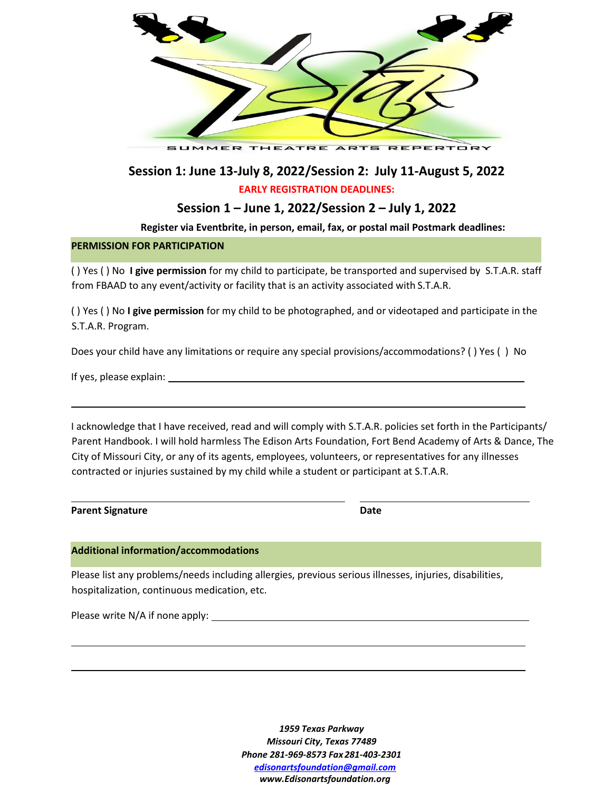

**Session 1: June 13-July 8, 2022/Session 2: July 11-August 5, 2022 EARLY REGISTRATION DEADLINES:** 

**Session 1 – June 1, 2022/Session 2 – July 1, 2022**

**Register via Eventbrite, in person, email, fax, or postal mail Postmark deadlines:**

#### **PERMISSION FOR PARTICIPATION**

( ) Yes ( ) No **I give permission** for my child to participate, be transported and supervised by S.T.A.R. staff from FBAAD to any event/activity or facility that is an activity associated with S.T.A.R.

( ) Yes ( ) No **I give permission** for my child to be photographed, and or videotaped and participate in the S.T.A.R. Program.

Does your child have any limitations or require any special provisions/accommodations? ( ) Yes ( ) No

If yes, please explain:

I acknowledge that I have received, read and will comply with S.T.A.R. policies set forth in the Participants/ Parent Handbook. I will hold harmless The Edison Arts Foundation, Fort Bend Academy of Arts & Dance, The City of Missouri City, or any of its agents, employees, volunteers, or representatives for any illnesses contracted or injuries sustained by my child while a student or participant at S.T.A.R.

| <b>Parent Signature</b> | Date |
|-------------------------|------|
|                         |      |

#### **Additional information/accommodations**

Please list any problems/needs including allergies, previous serious illnesses, injuries, disabilities, hospitalization, continuous medication, etc.

Please write N/A if none apply:

*1959 Texas Parkway Missouri City, Texas 77489 Phone 281-969-8573 Fax 281-403-2301 [edisonartsfoundation@gmail.com](mailto:edisonartsfoundation@gmail.com) [www.Edisonartsfoundation.org](http://www.edisonartsfoundation.org/)*

<u> 1980 - Johann Barn, mars ann an t-Amhain Aonaich an t-Aonaich an t-Aonaich ann an t-Aonaich ann an t-Aonaich</u>